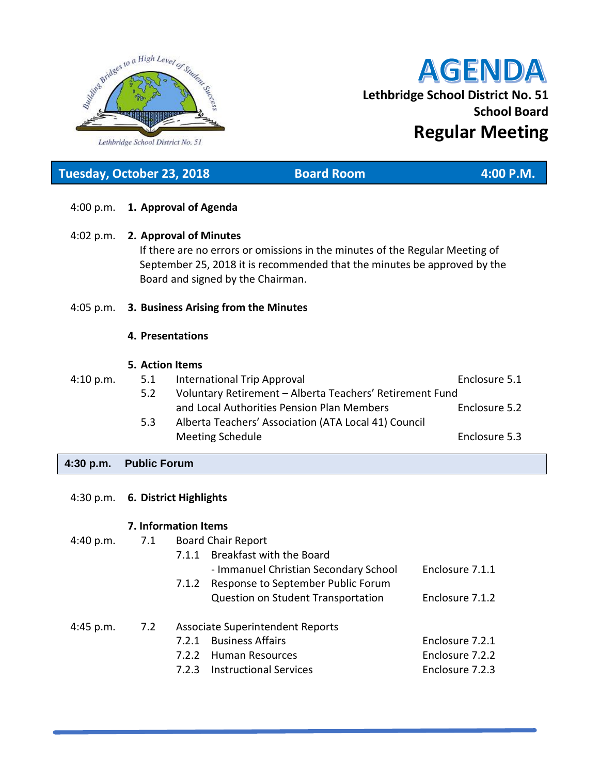

# **AGENDA Lethbridge School District No. 51 School Board Regular Meeting**

4:00 p.m. **1. Approval of Agenda** 4:02 p.m. **2. Approval of Minutes** If there are no errors or omissions in the minutes of the Regular Meeting of September 25, 2018 it is recommended that the minutes be approved by the Board and signed by the Chairman. 4:05 p.m. **3. Business Arising from the Minutes 4. Presentations 5. Action Items** 4:10 p.m. 5.1 International Trip Approval Enclosure 5.1 5.2 Voluntary Retirement – Alberta Teachers' Retirement Fund and Local Authorities Pension Plan Members **Enclosure 5.2** 5.3 Alberta Teachers' Association (ATA Local 41) Council Meeting Schedule **Enclosure 5.3 Tuesday, October 23, 2018 Board Room 4:00 P.M.**

## **4:30 p.m. Public Forum**

|             | 4:30 p.m. 6. District Highlights |                                             |                 |  |  |
|-------------|----------------------------------|---------------------------------------------|-----------------|--|--|
|             | 7. Information Items             |                                             |                 |  |  |
| 4:40 p.m.   | 7.1                              | <b>Board Chair Report</b>                   |                 |  |  |
|             |                                  | <b>Breakfast with the Board</b><br>7.1.1    |                 |  |  |
|             |                                  | - Immanuel Christian Secondary School       | Enclosure 7.1.1 |  |  |
|             |                                  | Response to September Public Forum<br>7.1.2 |                 |  |  |
|             |                                  | Question on Student Transportation          | Enclosure 7.1.2 |  |  |
| $4:45$ p.m. | 7.2                              | Associate Superintendent Reports            |                 |  |  |
|             |                                  | <b>Business Affairs</b><br>7.2.1            | Enclosure 7.2.1 |  |  |
|             |                                  | <b>Human Resources</b><br>7.2.2             | Enclosure 7.2.2 |  |  |
|             |                                  | <b>Instructional Services</b><br>7.2.3      | Enclosure 7.2.3 |  |  |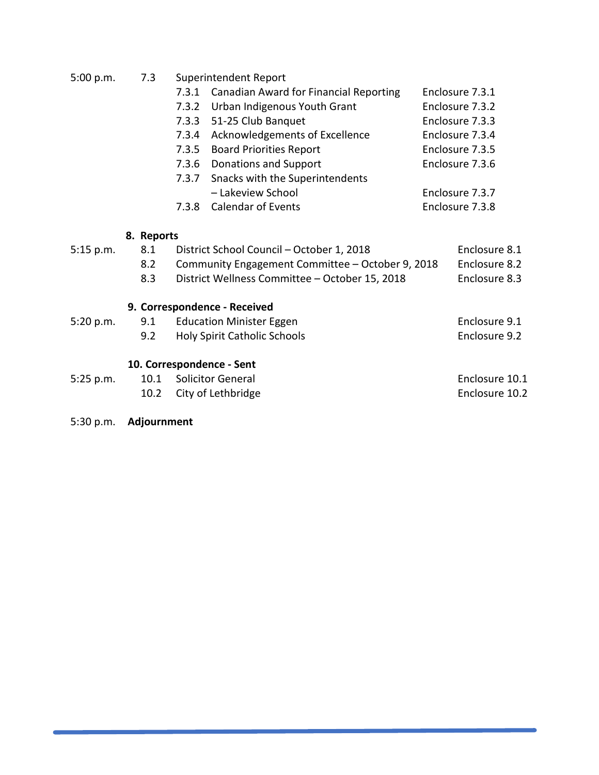| 5:00 p.m.<br>7.3 | Superintendent Report |
|------------------|-----------------------|
|------------------|-----------------------|

| 7.3.1 Canadian Award for Financial Reporting | Enclosure 7.3.1 |
|----------------------------------------------|-----------------|
|----------------------------------------------|-----------------|

- 7.3.2 Urban Indigenous Youth Grant Enclosure 7.3.2
- 7.3.3 51-25 Club Banquet Enclosure 7.3.3
- 7.3.4 Acknowledgements of Excellence Enclosure 7.3.4
- 7.3.5 Board Priorities Report Enclosure 7.3.5
- 7.3.6 Donations and Support Enclosure 7.3.6
- 7.3.7 Snacks with the Superintendents – Lakeview School Enclosure 7.3.7
- 7.3.8 Calendar of Events Enclosure 7.3.8

## **8. Reports**

| 5:15 p.m. | 8.1<br>8.2<br>8.3 | District School Council - October 1, 2018<br>Community Engagement Committee - October 9, 2018<br>District Wellness Committee - October 15, 2018 | Enclosure 8.1<br>Enclosure 8.2<br>Enclosure 8.3 |
|-----------|-------------------|-------------------------------------------------------------------------------------------------------------------------------------------------|-------------------------------------------------|
|           |                   | 9. Correspondence - Received                                                                                                                    |                                                 |
| 5:20 p.m. | 9.1               | <b>Education Minister Eggen</b>                                                                                                                 | Enclosure 9.1                                   |
|           | 9.2               | <b>Holy Spirit Catholic Schools</b>                                                                                                             | Enclosure 9.2                                   |
|           |                   | 10. Correspondence - Sent                                                                                                                       |                                                 |
| 5:25 p.m. | 10.1              | <b>Solicitor General</b>                                                                                                                        | Enclosure 10.1                                  |
|           | 10.2              | City of Lethbridge                                                                                                                              | Enclosure 10.2                                  |

5:30 p.m. **Adjournment**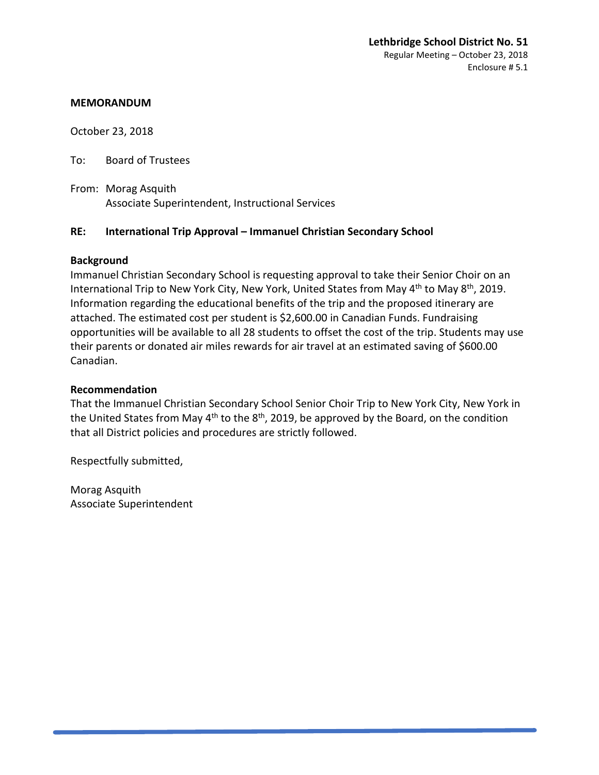October 23, 2018

To: Board of Trustees

From: Morag Asquith Associate Superintendent, Instructional Services

## **RE: International Trip Approval – Immanuel Christian Secondary School**

#### **Background**

Immanuel Christian Secondary School is requesting approval to take their Senior Choir on an International Trip to New York City, New York, United States from May 4<sup>th</sup> to May 8<sup>th</sup>, 2019. Information regarding the educational benefits of the trip and the proposed itinerary are attached. The estimated cost per student is \$2,600.00 in Canadian Funds. Fundraising opportunities will be available to all 28 students to offset the cost of the trip. Students may use their parents or donated air miles rewards for air travel at an estimated saving of \$600.00 Canadian.

#### **Recommendation**

That the Immanuel Christian Secondary School Senior Choir Trip to New York City, New York in the United States from May  $4<sup>th</sup>$  to the  $8<sup>th</sup>$ , 2019, be approved by the Board, on the condition that all District policies and procedures are strictly followed.

Respectfully submitted,

Morag Asquith Associate Superintendent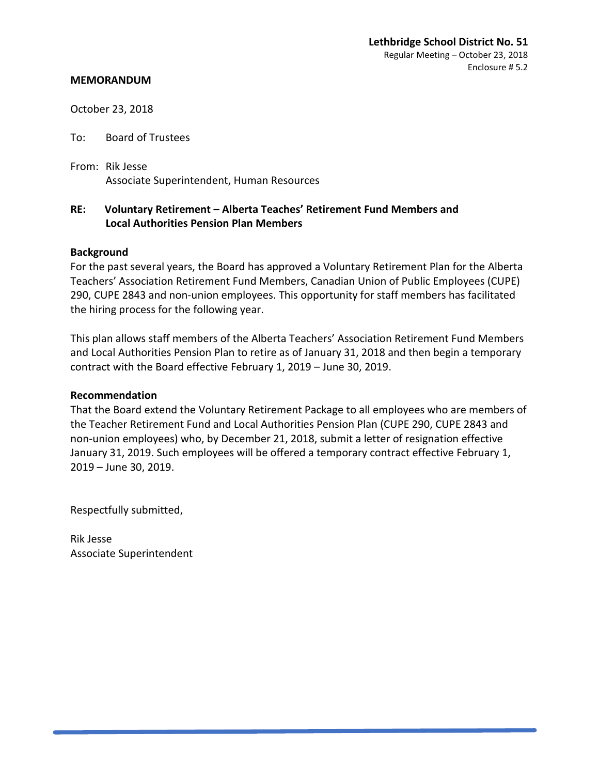October 23, 2018

To: Board of Trustees

From: Rik Jesse Associate Superintendent, Human Resources

## **RE: Voluntary Retirement – Alberta Teaches' Retirement Fund Members and Local Authorities Pension Plan Members**

#### **Background**

For the past several years, the Board has approved a Voluntary Retirement Plan for the Alberta Teachers' Association Retirement Fund Members, Canadian Union of Public Employees (CUPE) 290, CUPE 2843 and non-union employees. This opportunity for staff members has facilitated the hiring process for the following year.

This plan allows staff members of the Alberta Teachers' Association Retirement Fund Members and Local Authorities Pension Plan to retire as of January 31, 2018 and then begin a temporary contract with the Board effective February 1, 2019 – June 30, 2019.

#### **Recommendation**

That the Board extend the Voluntary Retirement Package to all employees who are members of the Teacher Retirement Fund and Local Authorities Pension Plan (CUPE 290, CUPE 2843 and non-union employees) who, by December 21, 2018, submit a letter of resignation effective January 31, 2019. Such employees will be offered a temporary contract effective February 1, 2019 – June 30, 2019.

Respectfully submitted,

Rik Jesse Associate Superintendent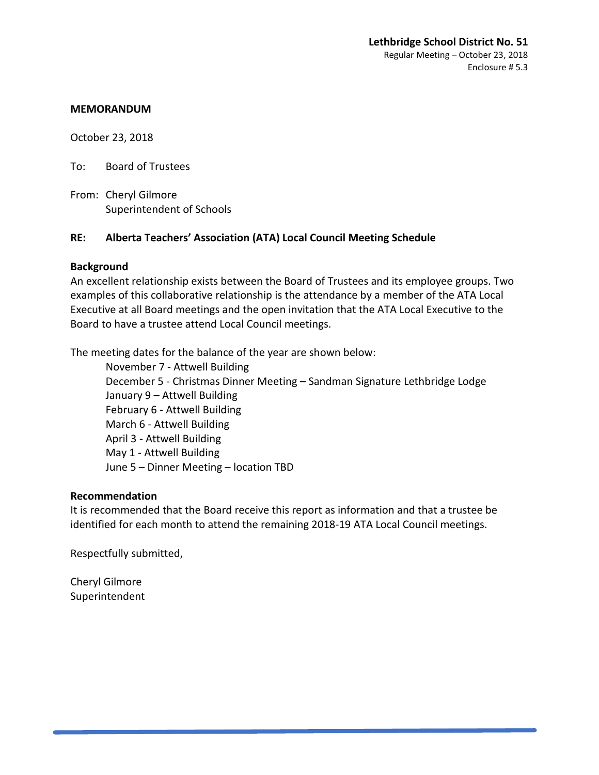October 23, 2018

To: Board of Trustees

From: Cheryl Gilmore Superintendent of Schools

## **RE: Alberta Teachers' Association (ATA) Local Council Meeting Schedule**

## **Background**

An excellent relationship exists between the Board of Trustees and its employee groups. Two examples of this collaborative relationship is the attendance by a member of the ATA Local Executive at all Board meetings and the open invitation that the ATA Local Executive to the Board to have a trustee attend Local Council meetings.

The meeting dates for the balance of the year are shown below:

November 7 - Attwell Building December 5 - Christmas Dinner Meeting – Sandman Signature Lethbridge Lodge January 9 – Attwell Building February 6 - Attwell Building March 6 - Attwell Building April 3 - Attwell Building May 1 - Attwell Building June 5 – Dinner Meeting – location TBD

#### **Recommendation**

It is recommended that the Board receive this report as information and that a trustee be identified for each month to attend the remaining 2018-19 ATA Local Council meetings.

Respectfully submitted,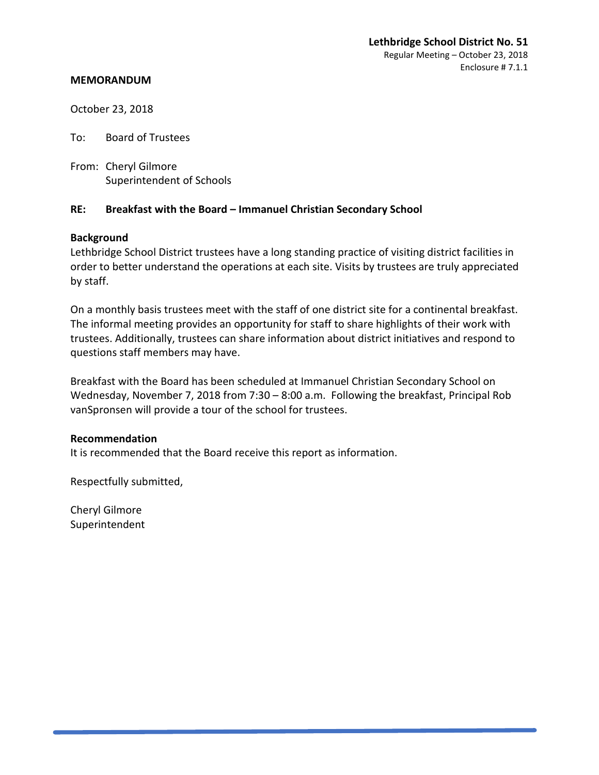October 23, 2018

To: Board of Trustees

From: Cheryl Gilmore Superintendent of Schools

## **RE: Breakfast with the Board – Immanuel Christian Secondary School**

#### **Background**

Lethbridge School District trustees have a long standing practice of visiting district facilities in order to better understand the operations at each site. Visits by trustees are truly appreciated by staff.

On a monthly basis trustees meet with the staff of one district site for a continental breakfast. The informal meeting provides an opportunity for staff to share highlights of their work with trustees. Additionally, trustees can share information about district initiatives and respond to questions staff members may have.

Breakfast with the Board has been scheduled at Immanuel Christian Secondary School on Wednesday, November 7, 2018 from 7:30 – 8:00 a.m. Following the breakfast, Principal Rob vanSpronsen will provide a tour of the school for trustees.

## **Recommendation**

It is recommended that the Board receive this report as information.

Respectfully submitted,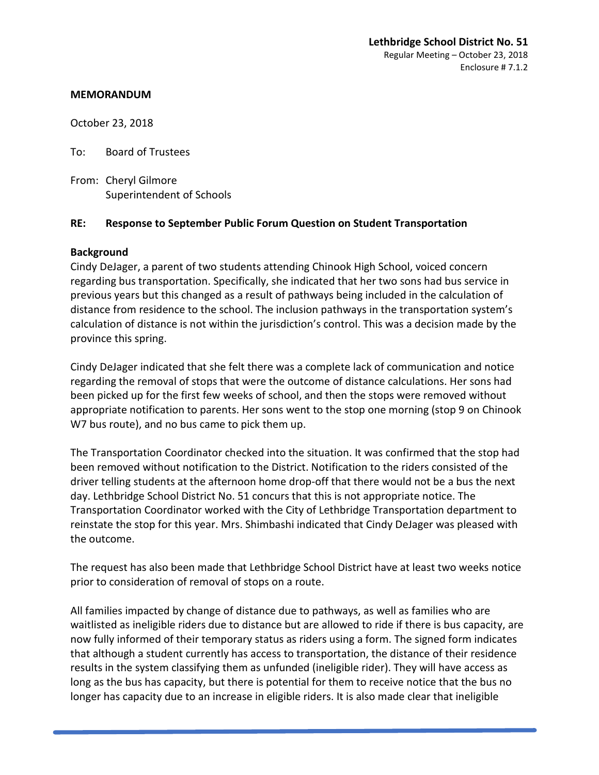October 23, 2018

To: Board of Trustees

From: Cheryl Gilmore Superintendent of Schools

## **RE: Response to September Public Forum Question on Student Transportation**

## **Background**

Cindy DeJager, a parent of two students attending Chinook High School, voiced concern regarding bus transportation. Specifically, she indicated that her two sons had bus service in previous years but this changed as a result of pathways being included in the calculation of distance from residence to the school. The inclusion pathways in the transportation system's calculation of distance is not within the jurisdiction's control. This was a decision made by the province this spring.

Cindy DeJager indicated that she felt there was a complete lack of communication and notice regarding the removal of stops that were the outcome of distance calculations. Her sons had been picked up for the first few weeks of school, and then the stops were removed without appropriate notification to parents. Her sons went to the stop one morning (stop 9 on Chinook W7 bus route), and no bus came to pick them up.

The Transportation Coordinator checked into the situation. It was confirmed that the stop had been removed without notification to the District. Notification to the riders consisted of the driver telling students at the afternoon home drop-off that there would not be a bus the next day. Lethbridge School District No. 51 concurs that this is not appropriate notice. The Transportation Coordinator worked with the City of Lethbridge Transportation department to reinstate the stop for this year. Mrs. Shimbashi indicated that Cindy DeJager was pleased with the outcome.

The request has also been made that Lethbridge School District have at least two weeks notice prior to consideration of removal of stops on a route.

All families impacted by change of distance due to pathways, as well as families who are waitlisted as ineligible riders due to distance but are allowed to ride if there is bus capacity, are now fully informed of their temporary status as riders using a form. The signed form indicates that although a student currently has access to transportation, the distance of their residence results in the system classifying them as unfunded (ineligible rider). They will have access as long as the bus has capacity, but there is potential for them to receive notice that the bus no longer has capacity due to an increase in eligible riders. It is also made clear that ineligible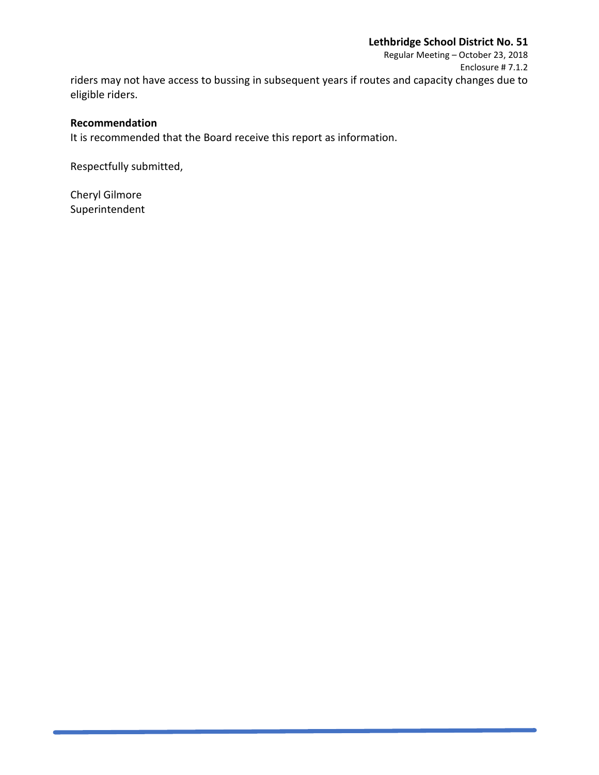Regular Meeting – October 23, 2018 Enclosure # 7.1.2 riders may not have access to bussing in subsequent years if routes and capacity changes due to eligible riders.

#### **Recommendation**

It is recommended that the Board receive this report as information.

Respectfully submitted,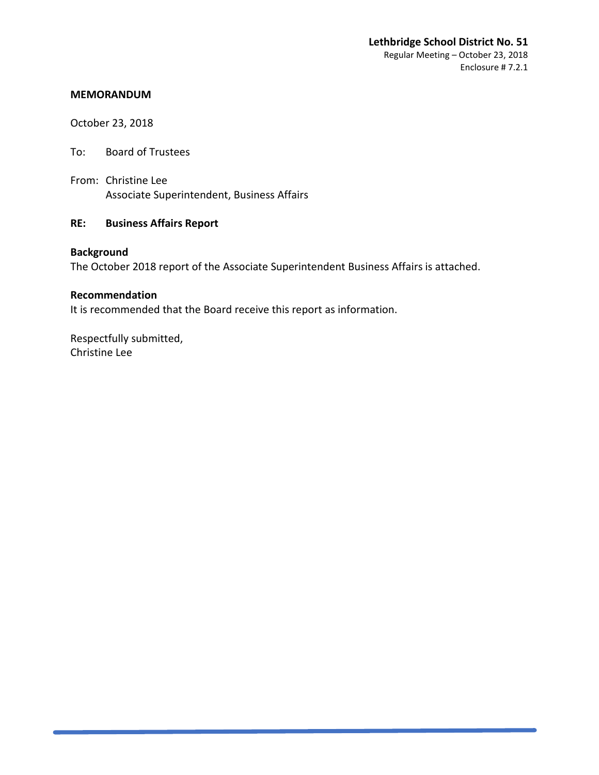October 23, 2018

- To: Board of Trustees
- From: Christine Lee Associate Superintendent, Business Affairs

## **RE: Business Affairs Report**

## **Background**

The October 2018 report of the Associate Superintendent Business Affairs is attached.

#### **Recommendation**

It is recommended that the Board receive this report as information.

Respectfully submitted, Christine Lee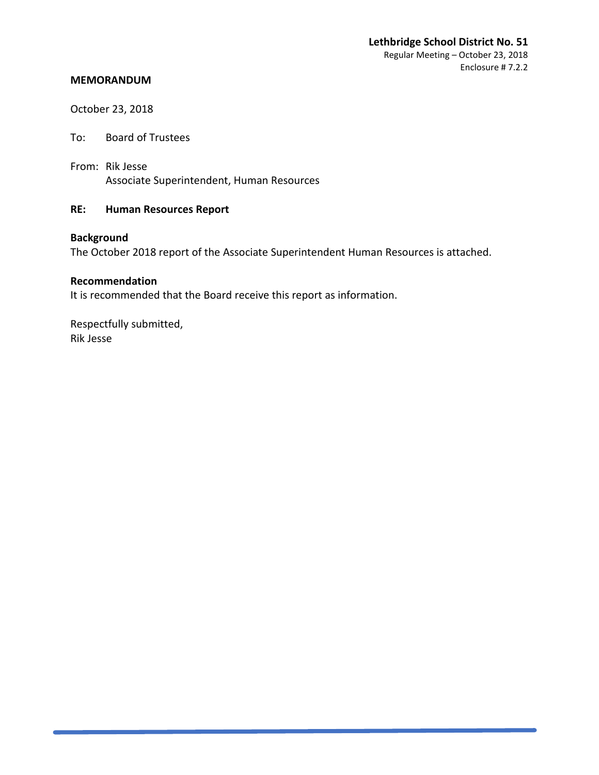October 23, 2018

To: Board of Trustees

From: Rik Jesse Associate Superintendent, Human Resources

## **RE: Human Resources Report**

## **Background**

The October 2018 report of the Associate Superintendent Human Resources is attached.

#### **Recommendation**

It is recommended that the Board receive this report as information.

Respectfully submitted, Rik Jesse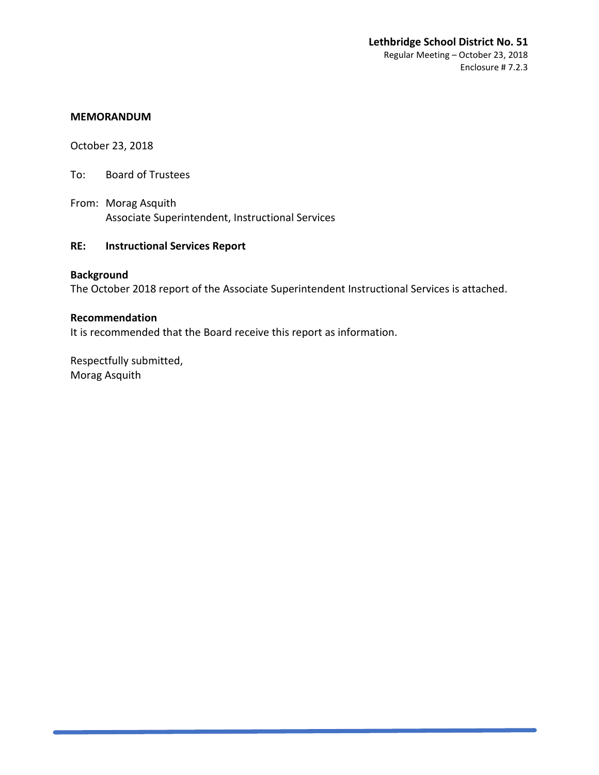October 23, 2018

To: Board of Trustees

From: Morag Asquith Associate Superintendent, Instructional Services

## **RE: Instructional Services Report**

## **Background**

The October 2018 report of the Associate Superintendent Instructional Services is attached.

#### **Recommendation**

It is recommended that the Board receive this report as information.

Respectfully submitted, Morag Asquith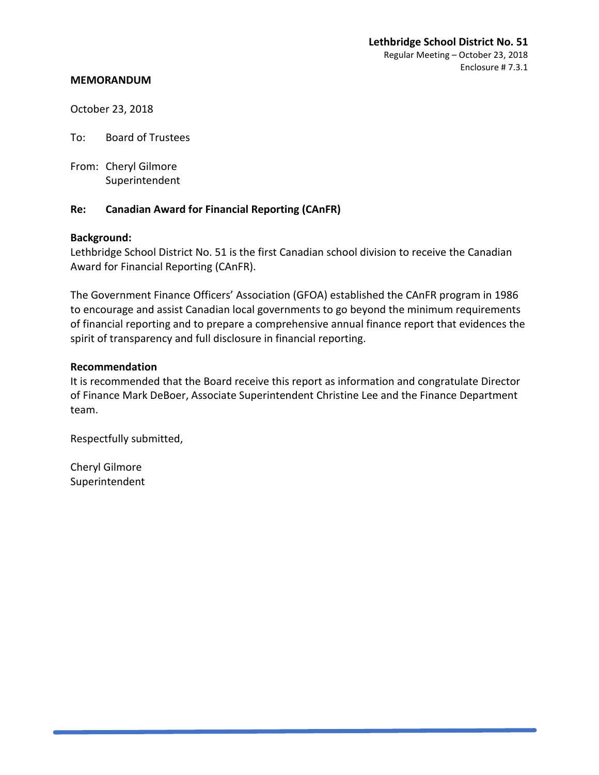October 23, 2018

To: Board of Trustees

From: Cheryl Gilmore Superintendent

## **Re: Canadian Award for Financial Reporting (CAnFR)**

#### **Background:**

Lethbridge School District No. 51 is the first Canadian school division to receive the Canadian Award for Financial Reporting (CAnFR).

The Government Finance Officers' Association (GFOA) established the CAnFR program in 1986 to encourage and assist Canadian local governments to go beyond the minimum requirements of financial reporting and to prepare a comprehensive annual finance report that evidences the spirit of transparency and full disclosure in financial reporting.

#### **Recommendation**

It is recommended that the Board receive this report as information and congratulate Director of Finance Mark DeBoer, Associate Superintendent Christine Lee and the Finance Department team.

Respectfully submitted,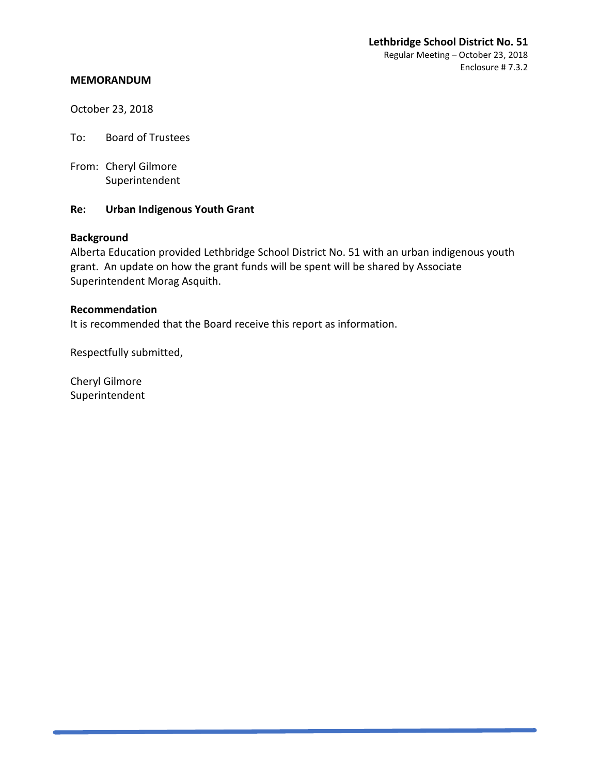October 23, 2018

To: Board of Trustees

From: Cheryl Gilmore Superintendent

#### **Re: Urban Indigenous Youth Grant**

#### **Background**

Alberta Education provided Lethbridge School District No. 51 with an urban indigenous youth grant. An update on how the grant funds will be spent will be shared by Associate Superintendent Morag Asquith.

#### **Recommendation**

It is recommended that the Board receive this report as information.

Respectfully submitted,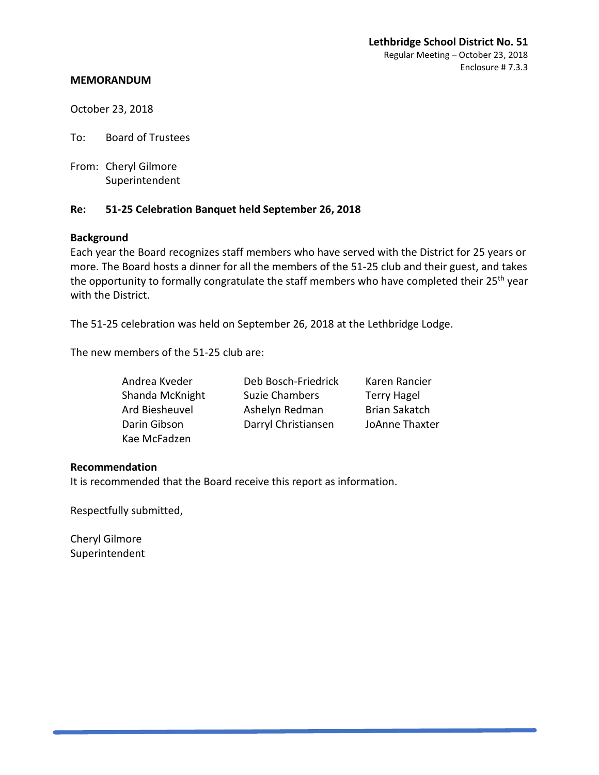October 23, 2018

To: Board of Trustees

From: Cheryl Gilmore Superintendent

## **Re: 51-25 Celebration Banquet held September 26, 2018**

#### **Background**

Each year the Board recognizes staff members who have served with the District for 25 years or more. The Board hosts a dinner for all the members of the 51-25 club and their guest, and takes the opportunity to formally congratulate the staff members who have completed their 25<sup>th</sup> year with the District.

The 51-25 celebration was held on September 26, 2018 at the Lethbridge Lodge.

The new members of the 51-25 club are:

| Andrea Kveder   | Deb Bosch-Friedrick   | Karen Rancier        |
|-----------------|-----------------------|----------------------|
| Shanda McKnight | <b>Suzie Chambers</b> | <b>Terry Hagel</b>   |
| Ard Biesheuvel  | Ashelyn Redman        | <b>Brian Sakatch</b> |
| Darin Gibson    | Darryl Christiansen   | JoAnne Thaxter       |
| Kae McFadzen    |                       |                      |

#### **Recommendation**

It is recommended that the Board receive this report as information.

Respectfully submitted,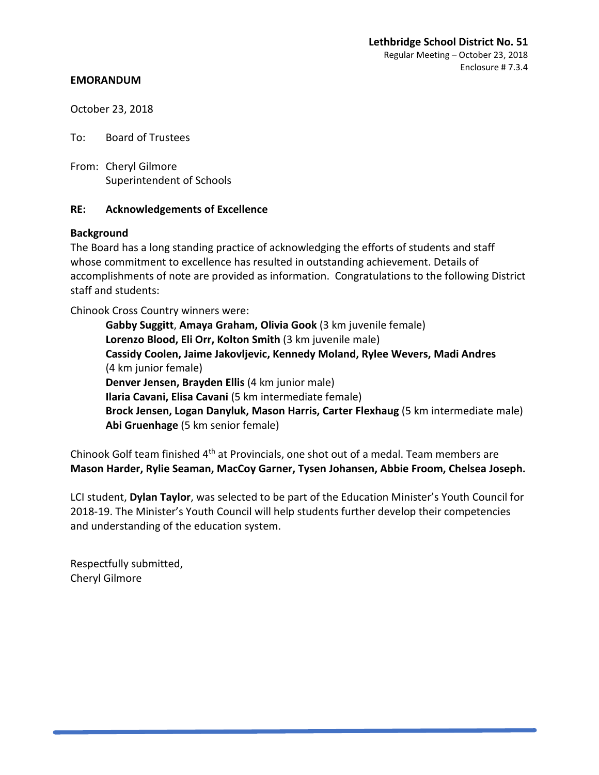October 23, 2018

To: Board of Trustees

From: Cheryl Gilmore Superintendent of Schools

#### **RE: Acknowledgements of Excellence**

#### **Background**

The Board has a long standing practice of acknowledging the efforts of students and staff whose commitment to excellence has resulted in outstanding achievement. Details of accomplishments of note are provided as information. Congratulations to the following District staff and students:

Chinook Cross Country winners were:

**Gabby Suggitt**, **Amaya Graham, Olivia Gook** (3 km juvenile female) **Lorenzo Blood, Eli Orr, Kolton Smith** (3 km juvenile male) **Cassidy Coolen, Jaime Jakovljevic, Kennedy Moland, Rylee Wevers, Madi Andres** (4 km junior female) **Denver Jensen, Brayden Ellis** (4 km junior male) **Ilaria Cavani, Elisa Cavani** (5 km intermediate female) **Brock Jensen, Logan Danyluk, Mason Harris, Carter Flexhaug** (5 km intermediate male) **Abi Gruenhage** (5 km senior female)

Chinook Golf team finished 4<sup>th</sup> at Provincials, one shot out of a medal. Team members are **Mason Harder, Rylie Seaman, MacCoy Garner, Tysen Johansen, Abbie Froom, Chelsea Joseph.**

LCI student, **Dylan Taylor**, was selected to be part of the Education Minister's Youth Council for 2018-19. The Minister's Youth Council will help students further develop their competencies and understanding of the education system.

Respectfully submitted, Cheryl Gilmore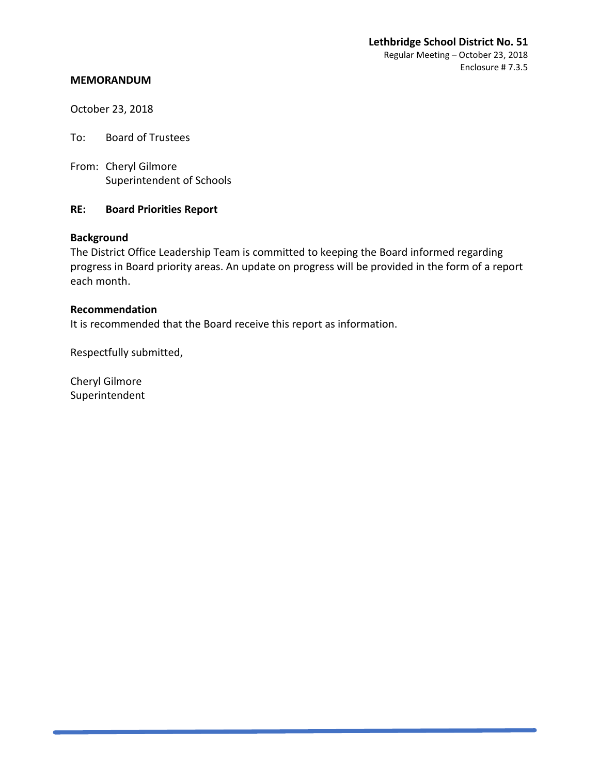#### **Lethbridge School District No. 51** Regular Meeting – October 23, 2018 Enclosure # 7.3.5

#### **MEMORANDUM**

October 23, 2018

To: Board of Trustees

From: Cheryl Gilmore Superintendent of Schools

#### **RE: Board Priorities Report**

## **Background**

The District Office Leadership Team is committed to keeping the Board informed regarding progress in Board priority areas. An update on progress will be provided in the form of a report each month.

#### **Recommendation**

It is recommended that the Board receive this report as information.

Respectfully submitted,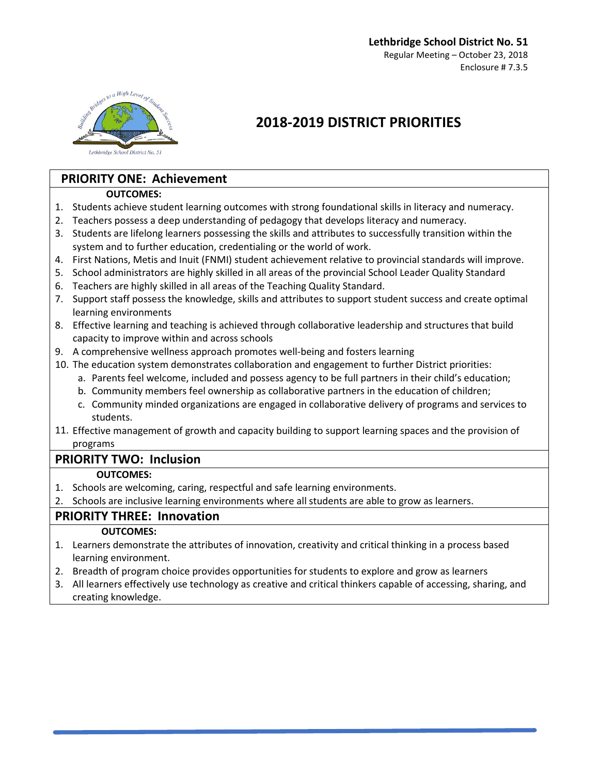

## **2018-2019 DISTRICT PRIORITIES**

## **PRIORITY ONE: Achievement**

## **OUTCOMES:**

- 1. Students achieve student learning outcomes with strong foundational skills in literacy and numeracy.
- 2. Teachers possess a deep understanding of pedagogy that develops literacy and numeracy.
- 3. Students are lifelong learners possessing the skills and attributes to successfully transition within the system and to further education, credentialing or the world of work.
- 4. First Nations, Metis and Inuit (FNMI) student achievement relative to provincial standards will improve.
- 5. School administrators are highly skilled in all areas of the provincial School Leader Quality Standard
- 6. Teachers are highly skilled in all areas of the Teaching Quality Standard.
- 7. Support staff possess the knowledge, skills and attributes to support student success and create optimal learning environments
- 8. Effective learning and teaching is achieved through collaborative leadership and structures that build capacity to improve within and across schools
- 9. A comprehensive wellness approach promotes well-being and fosters learning
- 10. The education system demonstrates collaboration and engagement to further District priorities:
	- a. Parents feel welcome, included and possess agency to be full partners in their child's education;
		- b. Community members feel ownership as collaborative partners in the education of children;
		- c. Community minded organizations are engaged in collaborative delivery of programs and services to students.
- 11. Effective management of growth and capacity building to support learning spaces and the provision of programs

## **PRIORITY TWO: Inclusion**

## **OUTCOMES:**

- 1. Schools are welcoming, caring, respectful and safe learning environments.
- 2. Schools are inclusive learning environments where all students are able to grow as learners.

## **PRIORITY THREE: Innovation**

## **OUTCOMES:**

- 1. Learners demonstrate the attributes of innovation, creativity and critical thinking in a process based learning environment.
- 2. Breadth of program choice provides opportunities for students to explore and grow as learners
- 3. All learners effectively use technology as creative and critical thinkers capable of accessing, sharing, and creating knowledge.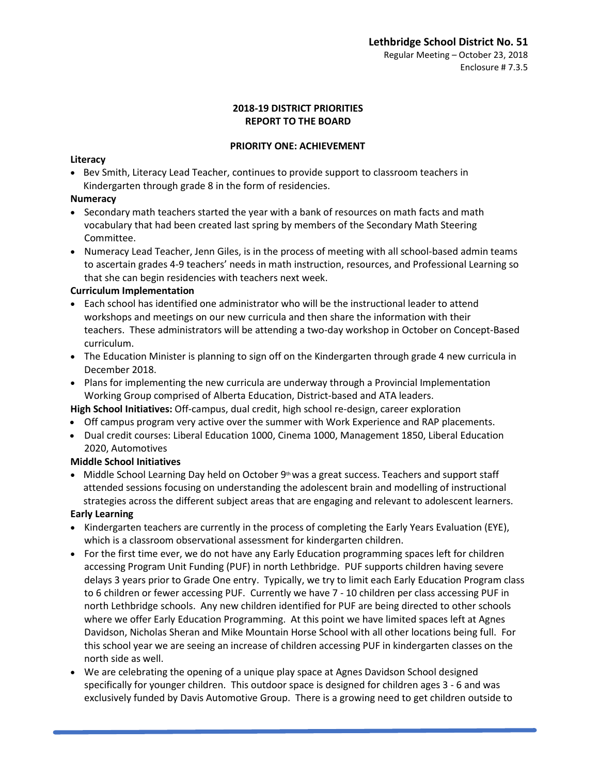#### **2018-19 DISTRICT PRIORITIES REPORT TO THE BOARD**

#### **PRIORITY ONE: ACHIEVEMENT**

#### **Literacy**

• Bev Smith, Literacy Lead Teacher, continues to provide support to classroom teachers in Kindergarten through grade 8 in the form of residencies.

#### **Numeracy**

- Secondary math teachers started the year with a bank of resources on math facts and math vocabulary that had been created last spring by members of the Secondary Math Steering Committee.
- Numeracy Lead Teacher, Jenn Giles, is in the process of meeting with all school-based admin teams to ascertain grades 4-9 teachers' needs in math instruction, resources, and Professional Learning so that she can begin residencies with teachers next week.

## **Curriculum Implementation**

- Each school has identified one administrator who will be the instructional leader to attend workshops and meetings on our new curricula and then share the information with their teachers. These administrators will be attending a two-day workshop in October on Concept-Based curriculum.
- The Education Minister is planning to sign off on the Kindergarten through grade 4 new curricula in December 2018.
- Plans for implementing the new curricula are underway through a Provincial Implementation Working Group comprised of Alberta Education, District-based and ATA leaders.

## **High School Initiatives:** Off-campus, dual credit, high school re-design, career exploration

- Off campus program very active over the summer with Work Experience and RAP placements.
- Dual credit courses: Liberal Education 1000, Cinema 1000, Management 1850, Liberal Education 2020, Automotives

## **Middle School Initiatives**

• Middle School Learning Day held on October  $9<sup>th</sup>$  was a great success. Teachers and support staff attended sessions focusing on understanding the adolescent brain and modelling of instructional strategies across the different subject areas that are engaging and relevant to adolescent learners.

## **Early Learning**

- Kindergarten teachers are currently in the process of completing the Early Years Evaluation (EYE), which is a classroom observational assessment for kindergarten children.
- For the first time ever, we do not have any Early Education programming spaces left for children accessing Program Unit Funding (PUF) in north Lethbridge. PUF supports children having severe delays 3 years prior to Grade One entry. Typically, we try to limit each Early Education Program class to 6 children or fewer accessing PUF. Currently we have 7 - 10 children per class accessing PUF in north Lethbridge schools. Any new children identified for PUF are being directed to other schools where we offer Early Education Programming. At this point we have limited spaces left at Agnes Davidson, Nicholas Sheran and Mike Mountain Horse School with all other locations being full. For this school year we are seeing an increase of children accessing PUF in kindergarten classes on the north side as well.
- We are celebrating the opening of a unique play space at Agnes Davidson School designed specifically for younger children. This outdoor space is designed for children ages 3 - 6 and was exclusively funded by Davis Automotive Group. There is a growing need to get children outside to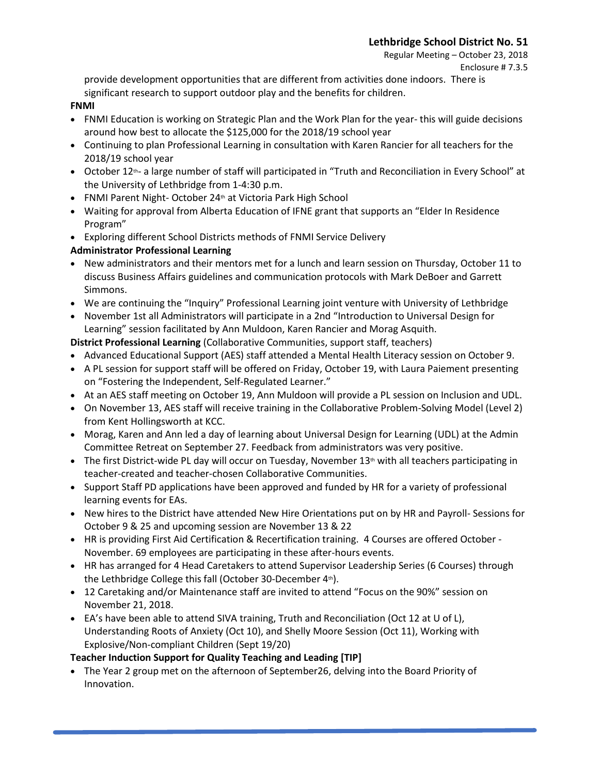provide development opportunities that are different from activities done indoors. There is significant research to support outdoor play and the benefits for children.

#### **FNMI**

- FNMI Education is working on Strategic Plan and the Work Plan for the year- this will guide decisions around how best to allocate the \$125,000 for the 2018/19 school year
- Continuing to plan Professional Learning in consultation with Karen Rancier for all teachers for the 2018/19 school year
- October 12<sup>th</sup>- a large number of staff will participated in "Truth and Reconciliation in Every School" at the University of Lethbridge from 1-4:30 p.m.
- FNMI Parent Night- October 24<sup>th</sup> at Victoria Park High School
- Waiting for approval from Alberta Education of IFNE grant that supports an "Elder In Residence Program"
- Exploring different School Districts methods of FNMI Service Delivery

## **Administrator Professional Learning**

- New administrators and their mentors met for a lunch and learn session on Thursday, October 11 to discuss Business Affairs guidelines and communication protocols with Mark DeBoer and Garrett Simmons.
- We are continuing the "Inquiry" Professional Learning joint venture with University of Lethbridge
- November 1st all Administrators will participate in a 2nd "Introduction to Universal Design for Learning" session facilitated by Ann Muldoon, Karen Rancier and Morag Asquith.

**District Professional Learning** (Collaborative Communities, support staff, teachers)

- Advanced Educational Support (AES) staff attended a Mental Health Literacy session on October 9.
- A PL session for support staff will be offered on Friday, October 19, with Laura Paiement presenting on "Fostering the Independent, Self-Regulated Learner."
- At an AES staff meeting on October 19, Ann Muldoon will provide a PL session on Inclusion and UDL.
- On November 13, AES staff will receive training in the Collaborative Problem-Solving Model (Level 2) from Kent Hollingsworth at KCC.
- Morag, Karen and Ann led a day of learning about Universal Design for Learning (UDL) at the Admin Committee Retreat on September 27. Feedback from administrators was very positive.
- The first District-wide PL day will occur on Tuesday, November  $13<sup>th</sup>$  with all teachers participating in teacher-created and teacher-chosen Collaborative Communities.
- Support Staff PD applications have been approved and funded by HR for a variety of professional learning events for EAs.
- New hires to the District have attended New Hire Orientations put on by HR and Payroll- Sessions for October 9 & 25 and upcoming session are November 13 & 22
- HR is providing First Aid Certification & Recertification training. 4 Courses are offered October November. 69 employees are participating in these after-hours events.
- HR has arranged for 4 Head Caretakers to attend Supervisor Leadership Series (6 Courses) through the Lethbridge College this fall (October 30-December  $4<sup>th</sup>$ ).
- 12 Caretaking and/or Maintenance staff are invited to attend "Focus on the 90%" session on November 21, 2018.
- EA's have been able to attend SIVA training, Truth and Reconciliation (Oct 12 at U of L), Understanding Roots of Anxiety (Oct 10), and Shelly Moore Session (Oct 11), Working with Explosive/Non-compliant Children (Sept 19/20)

## **Teacher Induction Support for Quality Teaching and Leading [TIP]**

• The Year 2 group met on the afternoon of September26, delving into the Board Priority of Innovation.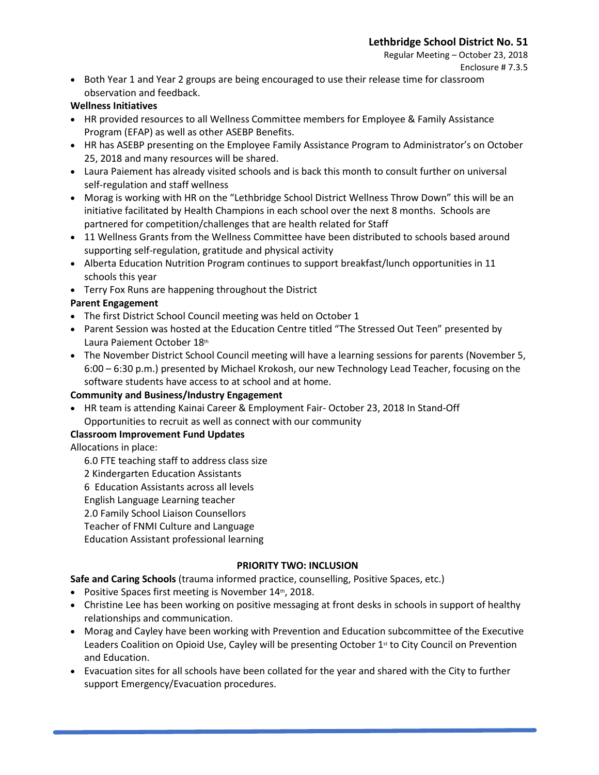Regular Meeting – October 23, 2018 Enclosure # 7.3.5

• Both Year 1 and Year 2 groups are being encouraged to use their release time for classroom observation and feedback.

#### **Wellness Initiatives**

- HR provided resources to all Wellness Committee members for Employee & Family Assistance Program (EFAP) as well as other ASEBP Benefits.
- HR has ASEBP presenting on the Employee Family Assistance Program to Administrator's on October 25, 2018 and many resources will be shared.
- Laura Paiement has already visited schools and is back this month to consult further on universal self-regulation and staff wellness
- Morag is working with HR on the "Lethbridge School District Wellness Throw Down" this will be an initiative facilitated by Health Champions in each school over the next 8 months. Schools are partnered for competition/challenges that are health related for Staff
- 11 Wellness Grants from the Wellness Committee have been distributed to schools based around supporting self-regulation, gratitude and physical activity
- Alberta Education Nutrition Program continues to support breakfast/lunch opportunities in 11 schools this year
- Terry Fox Runs are happening throughout the District

## **Parent Engagement**

- The first District School Council meeting was held on October 1
- Parent Session was hosted at the Education Centre titled "The Stressed Out Teen" presented by Laura Paiement October 18th
- The November District School Council meeting will have a learning sessions for parents (November 5, 6:00 – 6:30 p.m.) presented by Michael Krokosh, our new Technology Lead Teacher, focusing on the software students have access to at school and at home.

## **Community and Business/Industry Engagement**

• HR team is attending Kainai Career & Employment Fair- October 23, 2018 In Stand-Off Opportunities to recruit as well as connect with our community

## **Classroom Improvement Fund Updates**

## Allocations in place:

- 6.0 FTE teaching staff to address class size
- 2 Kindergarten Education Assistants
- 6 Education Assistants across all levels
- English Language Learning teacher
- 2.0 Family School Liaison Counsellors
- Teacher of FNMI Culture and Language
- Education Assistant professional learning

## **PRIORITY TWO: INCLUSION**

- **Safe and Caring Schools** (trauma informed practice, counselling, Positive Spaces, etc.)
- Positive Spaces first meeting is November 14th, 2018.
- Christine Lee has been working on positive messaging at front desks in schools in support of healthy relationships and communication.
- Morag and Cayley have been working with Prevention and Education subcommittee of the Executive Leaders Coalition on Opioid Use, Cayley will be presenting October 1<sup>st</sup> to City Council on Prevention and Education.
- Evacuation sites for all schools have been collated for the year and shared with the City to further support Emergency/Evacuation procedures.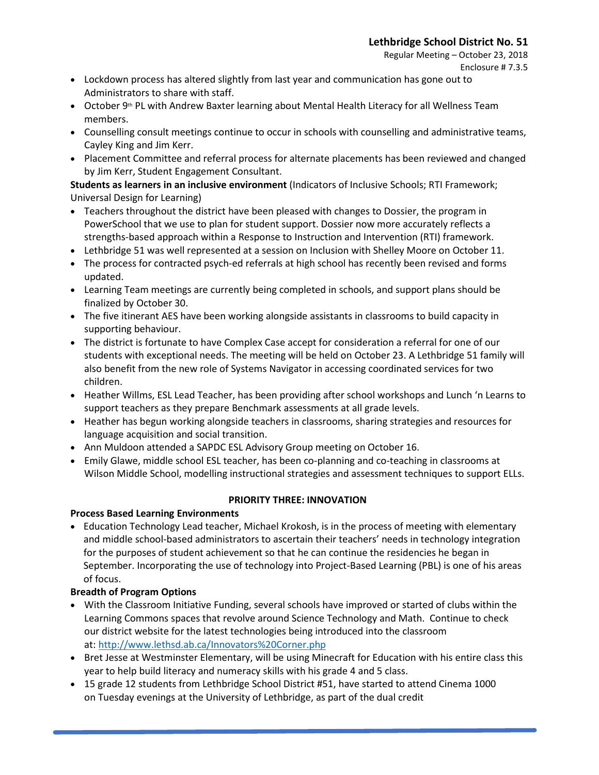Regular Meeting – October 23, 2018 Enclosure # 7.3.5

- Lockdown process has altered slightly from last year and communication has gone out to Administrators to share with staff.
- October 9<sup>th</sup> PL with Andrew Baxter learning about Mental Health Literacy for all Wellness Team members.
- Counselling consult meetings continue to occur in schools with counselling and administrative teams, Cayley King and Jim Kerr.
- Placement Committee and referral process for alternate placements has been reviewed and changed by Jim Kerr, Student Engagement Consultant.

**Students as learners in an inclusive environment** (Indicators of Inclusive Schools; RTI Framework; Universal Design for Learning)

- Teachers throughout the district have been pleased with changes to Dossier, the program in PowerSchool that we use to plan for student support. Dossier now more accurately reflects a strengths-based approach within a Response to Instruction and Intervention (RTI) framework.
- Lethbridge 51 was well represented at a session on Inclusion with Shelley Moore on October 11.
- The process for contracted psych-ed referrals at high school has recently been revised and forms updated.
- Learning Team meetings are currently being completed in schools, and support plans should be finalized by October 30.
- The five itinerant AES have been working alongside assistants in classrooms to build capacity in supporting behaviour.
- The district is fortunate to have Complex Case accept for consideration a referral for one of our students with exceptional needs. The meeting will be held on October 23. A Lethbridge 51 family will also benefit from the new role of Systems Navigator in accessing coordinated services for two children.
- Heather Willms, ESL Lead Teacher, has been providing after school workshops and Lunch 'n Learns to support teachers as they prepare Benchmark assessments at all grade levels.
- Heather has begun working alongside teachers in classrooms, sharing strategies and resources for language acquisition and social transition.
- Ann Muldoon attended a SAPDC ESL Advisory Group meeting on October 16.
- Emily Glawe, middle school ESL teacher, has been co-planning and co-teaching in classrooms at Wilson Middle School, modelling instructional strategies and assessment techniques to support ELLs.

## **PRIORITY THREE: INNOVATION**

## **Process Based Learning Environments**

• Education Technology Lead teacher, Michael Krokosh, is in the process of meeting with elementary and middle school-based administrators to ascertain their teachers' needs in technology integration for the purposes of student achievement so that he can continue the residencies he began in September. Incorporating the use of technology into Project-Based Learning (PBL) is one of his areas of focus.

## **Breadth of Program Options**

- With the Classroom Initiative Funding, several schools have improved or started of clubs within the Learning Commons spaces that revolve around Science Technology and Math. Continue to check our district website for the latest technologies being introduced into the classroom at: <http://www.lethsd.ab.ca/Innovators%20Corner.php>
- Bret Jesse at Westminster Elementary, will be using Minecraft for Education with his entire class this year to help build literacy and numeracy skills with his grade 4 and 5 class.
- 15 grade 12 students from Lethbridge School District #51, have started to attend Cinema 1000 on Tuesday evenings at the University of Lethbridge, as part of the dual credit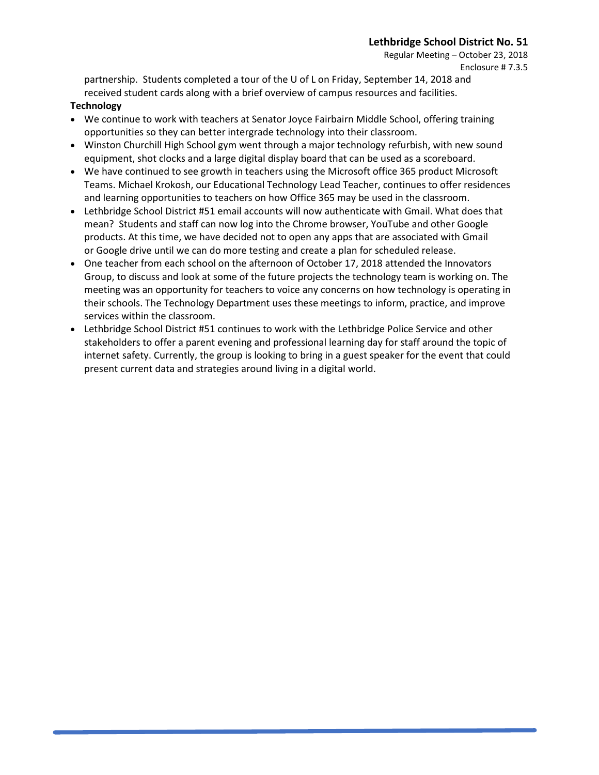Regular Meeting – October 23, 2018 Enclosure # 7.3.5

partnership. Students completed a tour of the U of L on Friday, September 14, 2018 and received student cards along with a brief overview of campus resources and facilities.

#### **Technology**

- We continue to work with teachers at Senator Joyce Fairbairn Middle School, offering training opportunities so they can better intergrade technology into their classroom.
- Winston Churchill High School gym went through a major technology refurbish, with new sound equipment, shot clocks and a large digital display board that can be used as a scoreboard.
- We have continued to see growth in teachers using the Microsoft office 365 product Microsoft Teams. Michael Krokosh, our Educational Technology Lead Teacher, continues to offer residences and learning opportunities to teachers on how Office 365 may be used in the classroom.
- Lethbridge School District #51 email accounts will now authenticate with Gmail. What does that mean? Students and staff can now log into the Chrome browser, YouTube and other Google products. At this time, we have decided not to open any apps that are associated with Gmail or Google drive until we can do more testing and create a plan for scheduled release.
- One teacher from each school on the afternoon of October 17, 2018 attended the Innovators Group, to discuss and look at some of the future projects the technology team is working on. The meeting was an opportunity for teachers to voice any concerns on how technology is operating in their schools. The Technology Department uses these meetings to inform, practice, and improve services within the classroom.
- Lethbridge School District #51 continues to work with the Lethbridge Police Service and other stakeholders to offer a parent evening and professional learning day for staff around the topic of internet safety. Currently, the group is looking to bring in a guest speaker for the event that could present current data and strategies around living in a digital world.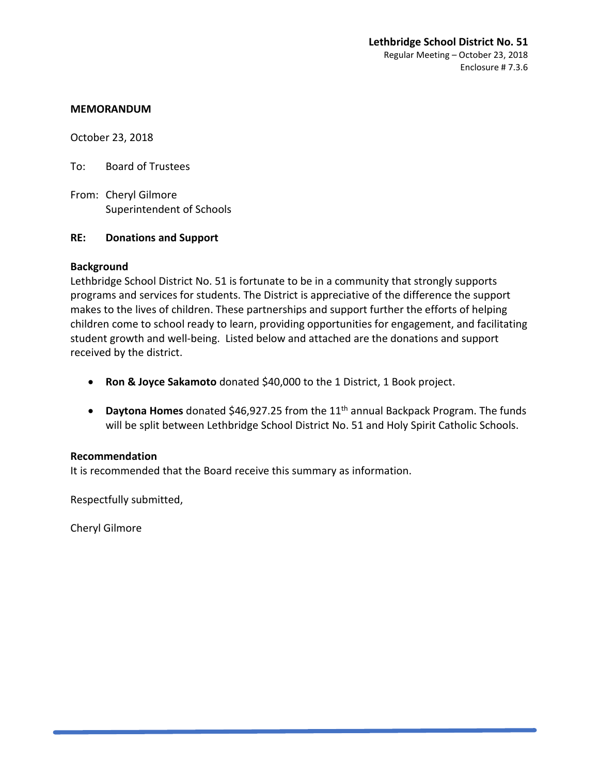October 23, 2018

To: Board of Trustees

From: Cheryl Gilmore Superintendent of Schools

#### **RE: Donations and Support**

#### **Background**

Lethbridge School District No. 51 is fortunate to be in a community that strongly supports programs and services for students. The District is appreciative of the difference the support makes to the lives of children. These partnerships and support further the efforts of helping children come to school ready to learn, providing opportunities for engagement, and facilitating student growth and well-being. Listed below and attached are the donations and support received by the district.

- **Ron & Joyce Sakamoto** donated \$40,000 to the 1 District, 1 Book project.
- **Daytona Homes** donated \$46,927.25 from the 11<sup>th</sup> annual Backpack Program. The funds will be split between Lethbridge School District No. 51 and Holy Spirit Catholic Schools.

## **Recommendation**

It is recommended that the Board receive this summary as information.

Respectfully submitted,

Cheryl Gilmore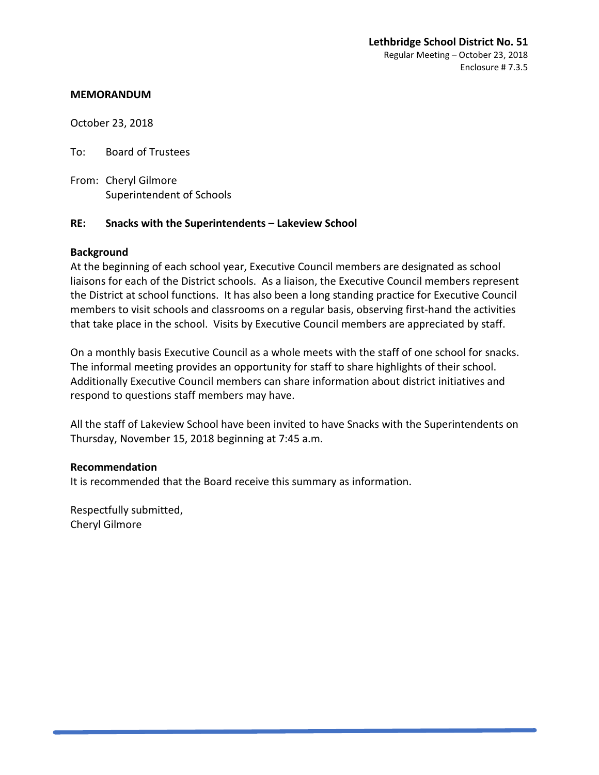October 23, 2018

To: Board of Trustees

From: Cheryl Gilmore Superintendent of Schools

## **RE: Snacks with the Superintendents – Lakeview School**

## **Background**

At the beginning of each school year, Executive Council members are designated as school liaisons for each of the District schools. As a liaison, the Executive Council members represent the District at school functions. It has also been a long standing practice for Executive Council members to visit schools and classrooms on a regular basis, observing first-hand the activities that take place in the school. Visits by Executive Council members are appreciated by staff.

On a monthly basis Executive Council as a whole meets with the staff of one school for snacks. The informal meeting provides an opportunity for staff to share highlights of their school. Additionally Executive Council members can share information about district initiatives and respond to questions staff members may have.

All the staff of Lakeview School have been invited to have Snacks with the Superintendents on Thursday, November 15, 2018 beginning at 7:45 a.m.

## **Recommendation**

It is recommended that the Board receive this summary as information.

Respectfully submitted, Cheryl Gilmore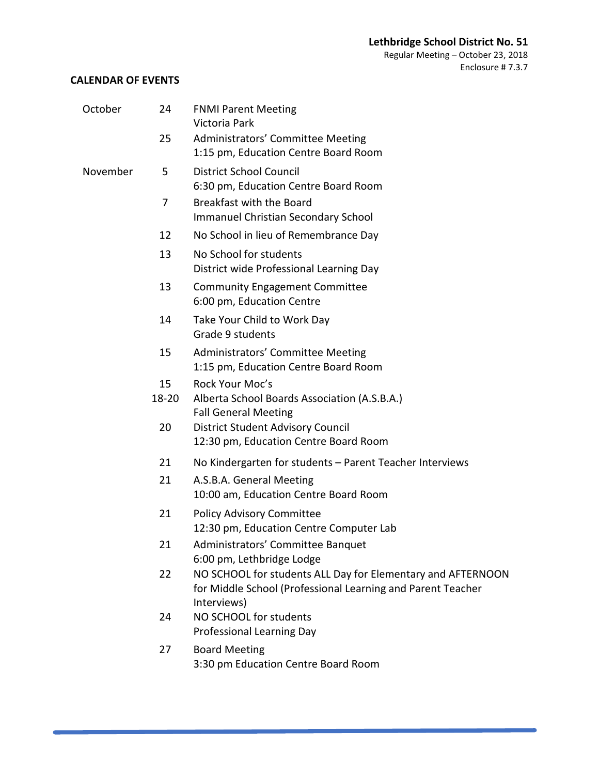Regular Meeting – October 23, 2018 Enclosure # 7.3.8

## **CALENDAR OF EVENTS**

| October  | 24          | <b>FNMI Parent Meeting</b><br>Victoria Park                                                                                               |
|----------|-------------|-------------------------------------------------------------------------------------------------------------------------------------------|
|          | 25          | Administrators' Committee Meeting<br>1:15 pm, Education Centre Board Room                                                                 |
| November | 5           | <b>District School Council</b><br>6:30 pm, Education Centre Board Room                                                                    |
|          | 7           | Breakfast with the Board<br><b>Immanuel Christian Secondary School</b>                                                                    |
|          | 12          | No School in lieu of Remembrance Day                                                                                                      |
|          | 13          | No School for students<br>District wide Professional Learning Day                                                                         |
|          | 13          | <b>Community Engagement Committee</b><br>6:00 pm, Education Centre                                                                        |
|          | 14          | Take Your Child to Work Day<br>Grade 9 students                                                                                           |
|          | 15          | Administrators' Committee Meeting<br>1:15 pm, Education Centre Board Room                                                                 |
|          | 15<br>18-20 | Rock Your Moc's<br>Alberta School Boards Association (A.S.B.A.)<br><b>Fall General Meeting</b>                                            |
|          | 20          | <b>District Student Advisory Council</b><br>12:30 pm, Education Centre Board Room                                                         |
|          | 21          | No Kindergarten for students - Parent Teacher Interviews                                                                                  |
|          | 21          | A.S.B.A. General Meeting<br>10:00 am, Education Centre Board Room                                                                         |
|          | 21          | <b>Policy Advisory Committee</b><br>12:30 pm, Education Centre Computer Lab                                                               |
|          | 21          | Administrators' Committee Banquet<br>6:00 pm, Lethbridge Lodge                                                                            |
|          | 22          | NO SCHOOL for students ALL Day for Elementary and AFTERNOON<br>for Middle School (Professional Learning and Parent Teacher<br>Interviews) |
|          | 24          | NO SCHOOL for students<br><b>Professional Learning Day</b>                                                                                |
|          | 27          | <b>Board Meeting</b><br>3:30 pm Education Centre Board Room                                                                               |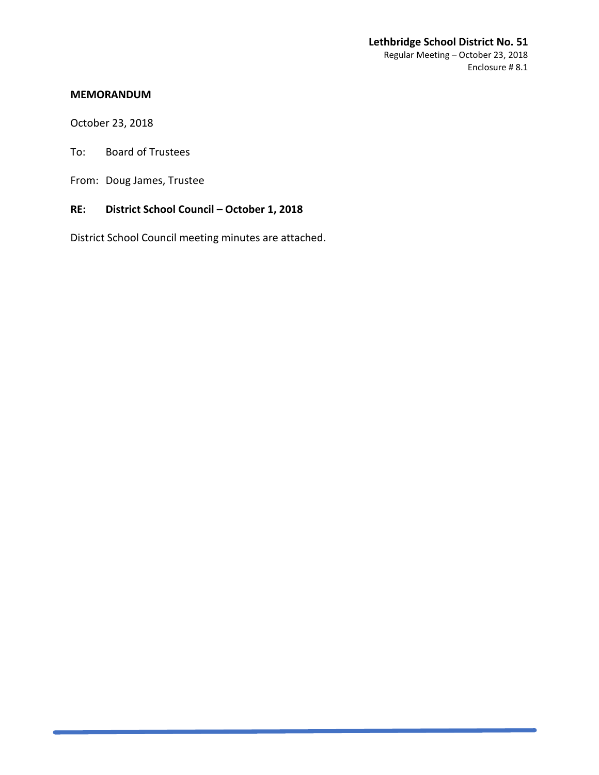#### **Lethbridge School District No. 51** Regular Meeting – October 23, 2018 Enclosure # 8.1

#### **MEMORANDUM**

October 23, 2018

To: Board of Trustees

From: Doug James, Trustee

## **RE: District School Council – October 1, 2018**

District School Council meeting minutes are attached.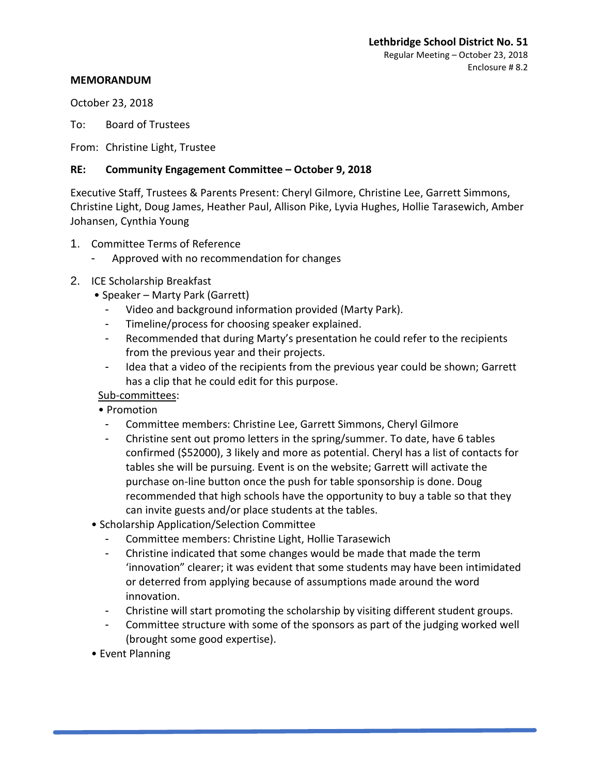October 23, 2018

To: Board of Trustees

From: Christine Light, Trustee

#### **RE: Community Engagement Committee – October 9, 2018**

Executive Staff, Trustees & Parents Present: Cheryl Gilmore, Christine Lee, Garrett Simmons, Christine Light, Doug James, Heather Paul, Allison Pike, Lyvia Hughes, Hollie Tarasewich, Amber Johansen, Cynthia Young

- 1. Committee Terms of Reference
	- Approved with no recommendation for changes
- 2. ICE Scholarship Breakfast
	- Speaker Marty Park (Garrett)
		- Video and background information provided (Marty Park).
		- Timeline/process for choosing speaker explained.
		- Recommended that during Marty's presentation he could refer to the recipients from the previous year and their projects.
		- Idea that a video of the recipients from the previous year could be shown; Garrett has a clip that he could edit for this purpose.

## Sub-committees:

- Promotion
- Committee members: Christine Lee, Garrett Simmons, Cheryl Gilmore
- Christine sent out promo letters in the spring/summer. To date, have 6 tables confirmed (\$52000), 3 likely and more as potential. Cheryl has a list of contacts for tables she will be pursuing. Event is on the website; Garrett will activate the purchase on-line button once the push for table sponsorship is done. Doug recommended that high schools have the opportunity to buy a table so that they can invite guests and/or place students at the tables.
- Scholarship Application/Selection Committee
	- Committee members: Christine Light, Hollie Tarasewich
	- Christine indicated that some changes would be made that made the term 'innovation" clearer; it was evident that some students may have been intimidated or deterred from applying because of assumptions made around the word innovation.
	- Christine will start promoting the scholarship by visiting different student groups.
	- Committee structure with some of the sponsors as part of the judging worked well (brought some good expertise).
- Event Planning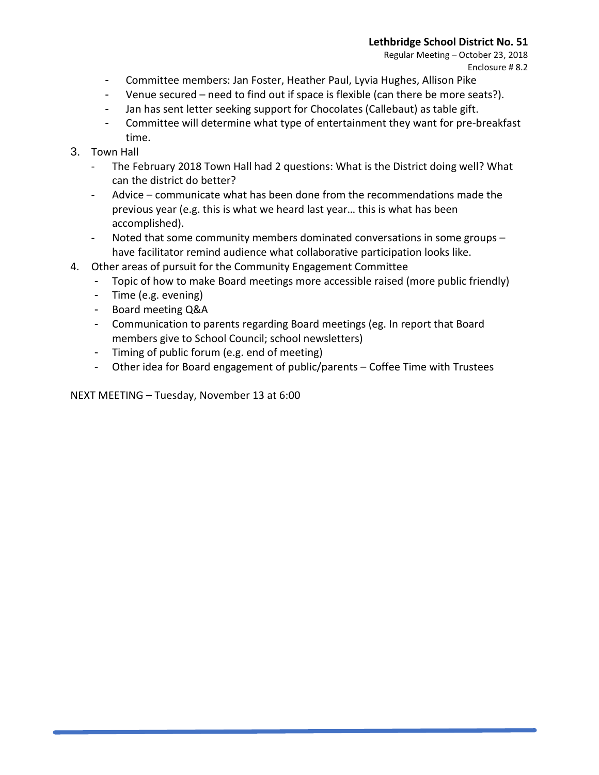Regular Meeting – October 23, 2018 Enclosure # 8.2

- Committee members: Jan Foster, Heather Paul, Lyvia Hughes, Allison Pike
- Venue secured need to find out if space is flexible (can there be more seats?).
- Jan has sent letter seeking support for Chocolates (Callebaut) as table gift.
- Committee will determine what type of entertainment they want for pre-breakfast time.
- 3. Town Hall
	- The February 2018 Town Hall had 2 questions: What is the District doing well? What can the district do better?
	- Advice communicate what has been done from the recommendations made the previous year (e.g. this is what we heard last year… this is what has been accomplished).
	- Noted that some community members dominated conversations in some groups have facilitator remind audience what collaborative participation looks like.
- 4. Other areas of pursuit for the Community Engagement Committee
	- Topic of how to make Board meetings more accessible raised (more public friendly)
	- Time (e.g. evening)
	- Board meeting Q&A
	- Communication to parents regarding Board meetings (eg. In report that Board members give to School Council; school newsletters)
	- Timing of public forum (e.g. end of meeting)
	- Other idea for Board engagement of public/parents Coffee Time with Trustees

NEXT MEETING – Tuesday, November 13 at 6:00